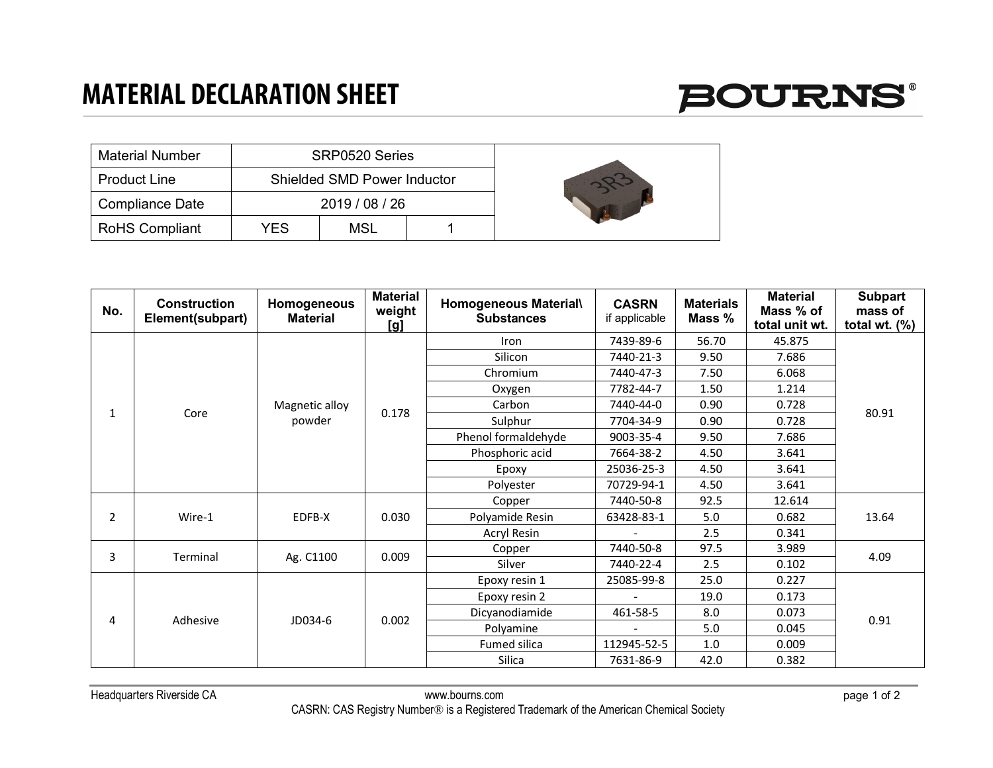### **MATERIAL DECLARATION SHEET**



| <b>Material Number</b> |     | SRP0520 Series                     |  |  |
|------------------------|-----|------------------------------------|--|--|
| <b>Product Line</b>    |     | <b>Shielded SMD Power Inductor</b> |  |  |
| <b>Compliance Date</b> |     | 2019 / 08 / 26                     |  |  |
| <b>RoHS Compliant</b>  | YES | MSL                                |  |  |

| No.       | <b>Construction</b><br>Element(subpart) | Homogeneous<br><b>Material</b> | <b>Material</b><br>weight<br>[g] | Homogeneous Material\<br><b>Substances</b> | <b>CASRN</b><br>if applicable | <b>Materials</b><br>Mass % | <b>Material</b><br>Mass % of<br>total unit wt. | <b>Subpart</b><br>mass of<br>total wt. $(\%)$ |
|-----------|-----------------------------------------|--------------------------------|----------------------------------|--------------------------------------------|-------------------------------|----------------------------|------------------------------------------------|-----------------------------------------------|
|           |                                         | Magnetic alloy<br>powder       | 0.178                            | Iron                                       | 7439-89-6                     | 56.70                      | 45.875                                         | 80.91                                         |
|           |                                         |                                |                                  | Silicon                                    | 7440-21-3                     | 9.50                       | 7.686                                          |                                               |
|           |                                         |                                |                                  | Chromium                                   | 7440-47-3                     | 7.50                       | 6.068                                          |                                               |
|           |                                         |                                |                                  | Oxygen                                     | 7782-44-7                     | 1.50                       | 1.214                                          |                                               |
| Core<br>1 |                                         |                                |                                  | Carbon                                     | 7440-44-0                     | 0.90                       | 0.728                                          |                                               |
|           |                                         |                                |                                  | Sulphur                                    | 7704-34-9                     | 0.90                       | 0.728                                          |                                               |
|           |                                         |                                |                                  | Phenol formaldehyde                        | 9003-35-4                     | 9.50                       | 7.686                                          |                                               |
|           |                                         |                                |                                  | Phosphoric acid                            | 7664-38-2                     | 4.50                       | 3.641                                          |                                               |
|           |                                         |                                |                                  | Epoxy                                      | 25036-25-3                    | 4.50                       | 3.641                                          |                                               |
|           |                                         |                                |                                  | Polyester                                  | 70729-94-1                    | 4.50                       | 3.641                                          |                                               |
| 2         | Wire-1                                  | EDFB-X                         | 0.030                            | Copper                                     | 7440-50-8                     | 92.5                       | 12.614                                         | 13.64                                         |
|           |                                         |                                |                                  | Polyamide Resin                            | 63428-83-1                    | 5.0                        | 0.682                                          |                                               |
|           |                                         |                                |                                  | Acryl Resin                                |                               | 2.5                        | 0.341                                          |                                               |
| 3         | Terminal                                | Ag. C1100                      | 0.009                            | Copper                                     | 7440-50-8                     | 97.5                       | 3.989                                          | 4.09                                          |
|           |                                         |                                |                                  | Silver                                     | 7440-22-4                     | 2.5                        | 0.102                                          |                                               |
| 4         | Adhesive                                | JD034-6                        | 0.002                            | Epoxy resin 1                              | 25085-99-8                    | 25.0                       | 0.227                                          | 0.91                                          |
|           |                                         |                                |                                  | Epoxy resin 2                              |                               | 19.0                       | 0.173                                          |                                               |
|           |                                         |                                |                                  | Dicyanodiamide                             | 461-58-5                      | 8.0                        | 0.073                                          |                                               |
|           |                                         |                                |                                  | Polyamine                                  | $\overline{\phantom{a}}$      | 5.0                        | 0.045                                          |                                               |
|           |                                         |                                |                                  | Fumed silica                               | 112945-52-5                   | 1.0                        | 0.009                                          |                                               |
|           |                                         |                                |                                  | Silica                                     | 7631-86-9                     | 42.0                       | 0.382                                          |                                               |